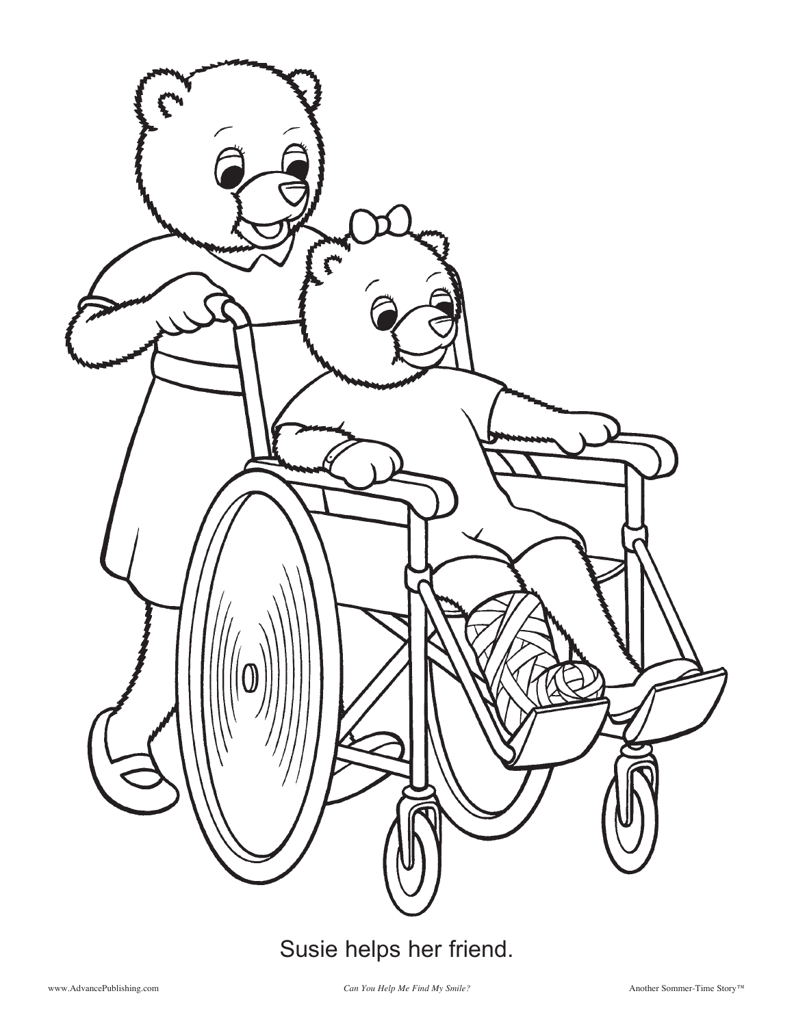

## Susie helps her friend.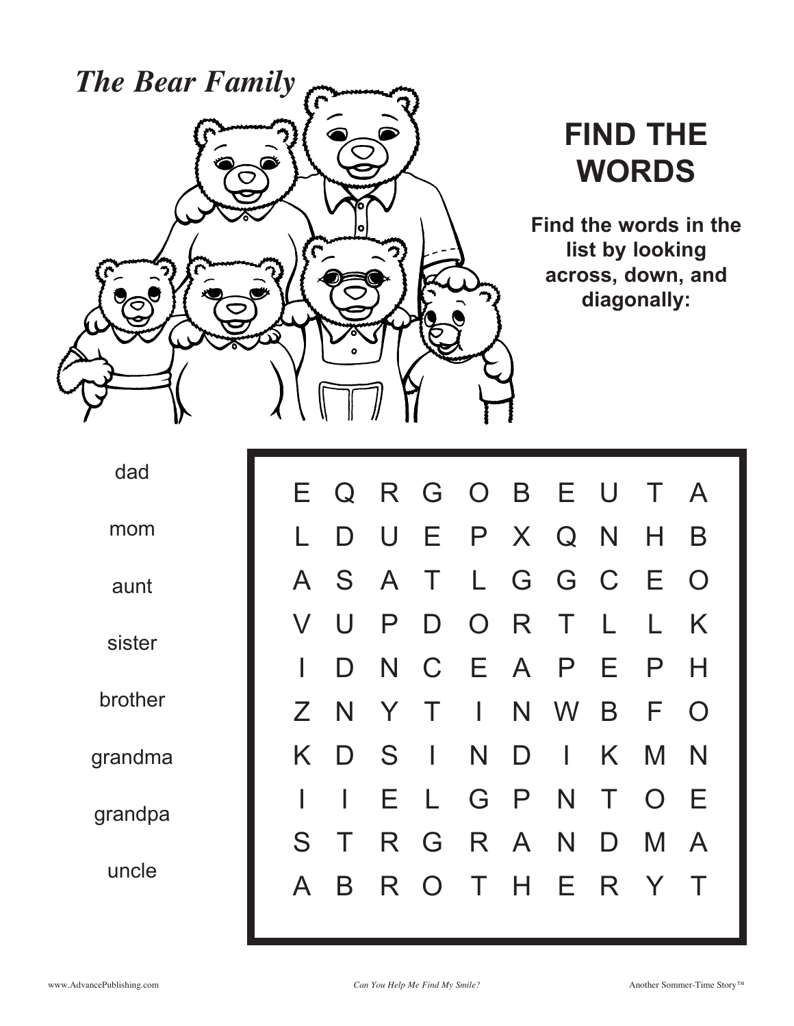

## **FIND THE WORDS**

**Find the words in the list by looking across, down, and diagonally:**

dad

mom

aunt

sister

brother

grandma

grandpa

uncle

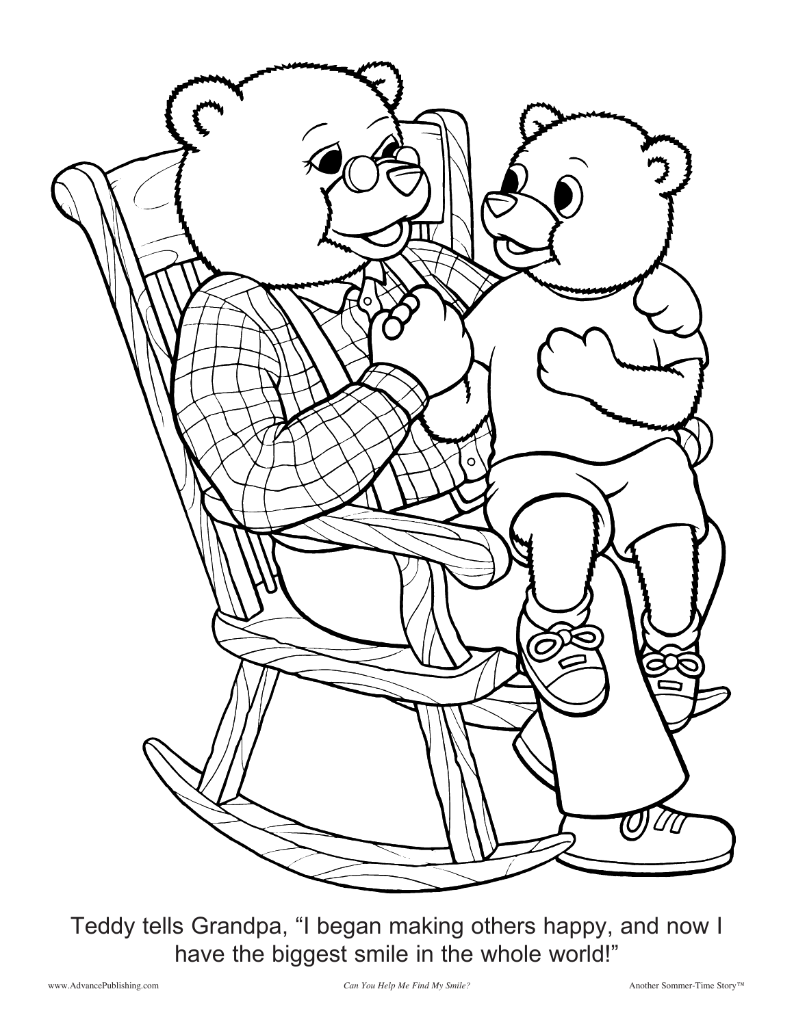

Teddy tells Grandpa, "I began making others happy, and now I have the biggest smile in the whole world!"